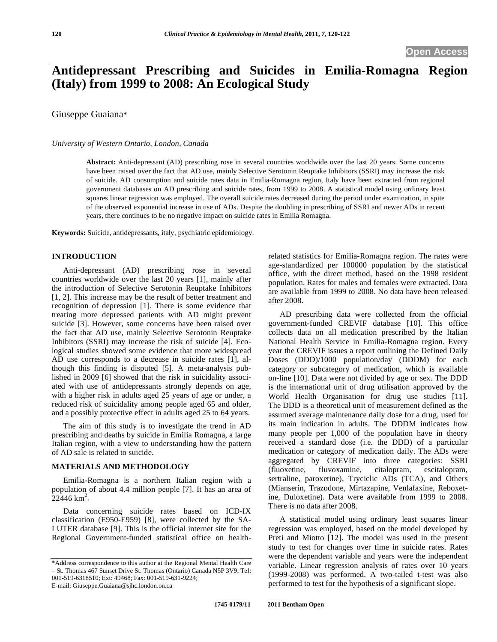# **Antidepressant Prescribing and Suicides in Emilia-Romagna Region (Italy) from 1999 to 2008: An Ecological Study**

Giuseppe Guaiana\*

# *University of Western Ontario, London, Canada*

**Abstract:** Anti-depressant (AD) prescribing rose in several countries worldwide over the last 20 years. Some concerns have been raised over the fact that AD use, mainly Selective Serotonin Reuptake Inhibitors (SSRI) may increase the risk of suicide. AD consumption and suicide rates data in Emilia-Romagna region, Italy have been extracted from regional government databases on AD prescribing and suicide rates, from 1999 to 2008. A statistical model using ordinary least squares linear regression was employed. The overall suicide rates decreased during the period under examination, in spite of the observed exponential increase in use of ADs. Despite the doubling in prescribing of SSRI and newer ADs in recent years, there continues to be no negative impact on suicide rates in Emilia Romagna.

**Keywords:** Suicide, antidepressants, italy, psychiatric epidemiology.

## **INTRODUCTION**

Anti-depressant (AD) prescribing rose in several countries worldwide over the last 20 years [1], mainly after the introduction of Selective Serotonin Reuptake Inhibitors [1, 2]. This increase may be the result of better treatment and recognition of depression [1]. There is some evidence that treating more depressed patients with AD might prevent suicide [3]. However, some concerns have been raised over the fact that AD use, mainly Selective Serotonin Reuptake Inhibitors (SSRI) may increase the risk of suicide [4]. Ecological studies showed some evidence that more widespread AD use corresponds to a decrease in suicide rates [1], although this finding is disputed [5]. A meta-analysis published in 2009 [6] showed that the risk in suicidality associated with use of antidepressants strongly depends on age, with a higher risk in adults aged 25 years of age or under, a reduced risk of suicidality among people aged 65 and older, and a possibly protective effect in adults aged 25 to 64 years.

The aim of this study is to investigate the trend in AD prescribing and deaths by suicide in Emilia Romagna, a large Italian region, with a view to understanding how the pattern of AD sale is related to suicide.

#### **MATERIALS AND METHODOLOGY**

Emilia-Romagna is a northern Italian region with a population of about 4.4 million people [7]. It has an area of  $22446 \text{ km}^2$ .

Data concerning suicide rates based on ICD-IX classification (E950-E959) [8], were collected by the SA-LUTER database [9]. This is the official internet site for the Regional Government-funded statistical office on healthrelated statistics for Emilia-Romagna region. The rates were age-standardized per 100000 population by the statistical office, with the direct method, based on the 1998 resident population. Rates for males and females were extracted. Data are available from 1999 to 2008. No data have been released after 2008.

AD prescribing data were collected from the official government-funded CREVIF database [10]. This office collects data on all medication prescribed by the Italian National Health Service in Emilia-Romagna region. Every year the CREVIF issues a report outlining the Defined Daily Doses (DDD)/1000 population/day (DDDM) for each category or subcategory of medication, which is available on-line [10]. Data were not divided by age or sex. The DDD is the international unit of drug utilisation approved by the World Health Organisation for drug use studies [11]. The DDD is a theoretical unit of measurement defined as the assumed average maintenance daily dose for a drug, used for its main indication in adults. The DDDM indicates how many people per 1,000 of the population have in theory received a standard dose (i.e. the DDD) of a particular medication or category of medication daily. The ADs were aggregated by CREVIF into three categories: SSRI (fluoxetine, fluvoxamine, citalopram, escitalopram, sertraline, paroxetine), Tryciclic ADs (TCA), and Others (Mianserin, Trazodone, Mirtazapine, Venlafaxine, Reboxetine, Duloxetine). Data were available from 1999 to 2008. There is no data after 2008.

A statistical model using ordinary least squares linear regression was employed, based on the model developed by Preti and Miotto [12]. The model was used in the present study to test for changes over time in suicide rates. Rates were the dependent variable and years were the independent variable. Linear regression analysis of rates over 10 years (1999-2008) was performed. A two-tailed t-test was also performed to test for the hypothesis of a significant slope.

<sup>\*</sup>Address correspondence to this author at the Regional Mental Health Care – St. Thomas 467 Sunset Drive St. Thomas (Ontario) Canada N5P 3V9; Tel: 001-519-6318510; Ext: 49468; Fax: 001-519-631-9224; E-mail: Giuseppe.Guaiana@sjhc.london.on.ca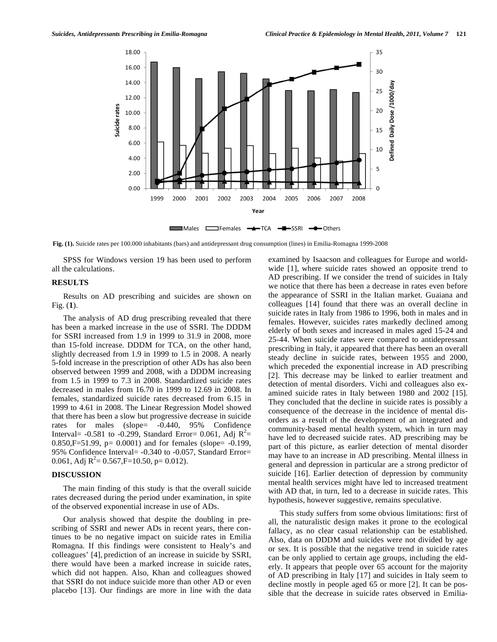

**Fig. (1).** Suicide rates per 100.000 inhabitants (bars) and antidepressant drug consumption (lines) in Emilia-Romagna 1999-2008

SPSS for Windows version 19 has been used to perform all the calculations.

# **RESULTS**

Results on AD prescribing and suicides are shown on Fig. (**1**).

The analysis of AD drug prescribing revealed that there has been a marked increase in the use of SSRI. The DDDM for SSRI increased from 1.9 in 1999 to 31.9 in 2008, more than 15-fold increase. DDDM for TCA, on the other hand, slightly decreased from 1.9 in 1999 to 1.5 in 2008. A nearly 5-fold increase in the prescription of other ADs has also been observed between 1999 and 2008, with a DDDM increasing from 1.5 in 1999 to 7.3 in 2008. Standardized suicide rates decreased in males from 16.70 in 1999 to 12.69 in 2008. In females, standardized suicide rates decreased from 6.15 in 1999 to 4.61 in 2008. The Linear Regression Model showed that there has been a slow but progressive decrease in suicide rates for males (slope= -0.440, 95% Confidence Interval =  $-0.581$  to  $-0.299$ , Standard Error = 0.061, Adj  $R^2$  = 0.850, F=51.99,  $p = 0.0001$  and for females (slope=  $-0.199$ , 95% Confidence Interval= -0.340 to -0.057, Standard Error= 0.061, Adj  $R^2 = 0.567$ , F=10.50, p= 0.012).

#### **DISCUSSION**

The main finding of this study is that the overall suicide rates decreased during the period under examination, in spite of the observed exponential increase in use of ADs.

Our analysis showed that despite the doubling in prescribing of SSRI and newer ADs in recent years, there continues to be no negative impact on suicide rates in Emilia Romagna. If this findings were consistent to Healy's and colleagues' [4], prediction of an increase in suicide by SSRI, there would have been a marked increase in suicide rates, which did not happen. Also, Khan and colleagues showed that SSRI do not induce suicide more than other AD or even placebo [13]. Our findings are more in line with the data examined by Isaacson and colleagues for Europe and worldwide [1], where suicide rates showed an opposite trend to AD prescribing. If we consider the trend of suicides in Italy we notice that there has been a decrease in rates even before the appearance of SSRI in the Italian market. Guaiana and colleagues [14] found that there was an overall decline in suicide rates in Italy from 1986 to 1996, both in males and in females. However, suicides rates markedly declined among elderly of both sexes and increased in males aged 15-24 and 25-44. When suicide rates were compared to antidepressant prescribing in Italy, it appeared that there has been an overall steady decline in suicide rates, between 1955 and 2000, which preceded the exponential increase in AD prescribing [2]. This decrease may be linked to earlier treatment and detection of mental disorders. Vichi and colleagues also examined suicide rates in Italy between 1980 and 2002 [15]. They concluded that the decline in suicide rates is possibly a consequence of the decrease in the incidence of mental disorders as a result of the development of an integrated and community-based mental health system, which in turn may have led to decreased suicide rates. AD prescribing may be part of this picture, as earlier detection of mental disorder may have to an increase in AD prescribing. Mental illness in general and depression in particular are a strong predictor of suicide [16]. Earlier detection of depression by community mental health services might have led to increased treatment with AD that, in turn, led to a decrease in suicide rates. This hypothesis, however suggestive, remains speculative.

This study suffers from some obvious limitations: first of all, the naturalistic design makes it prone to the ecological fallacy, as no clear casual relationship can be established. Also, data on DDDM and suicides were not divided by age or sex. It is possible that the negative trend in suicide rates can be only applied to certain age groups, including the elderly. It appears that people over 65 account for the majority of AD prescribing in Italy [17] and suicides in Italy seem to decline mostly in people aged 65 or more [2]. It can be possible that the decrease in suicide rates observed in Emilia